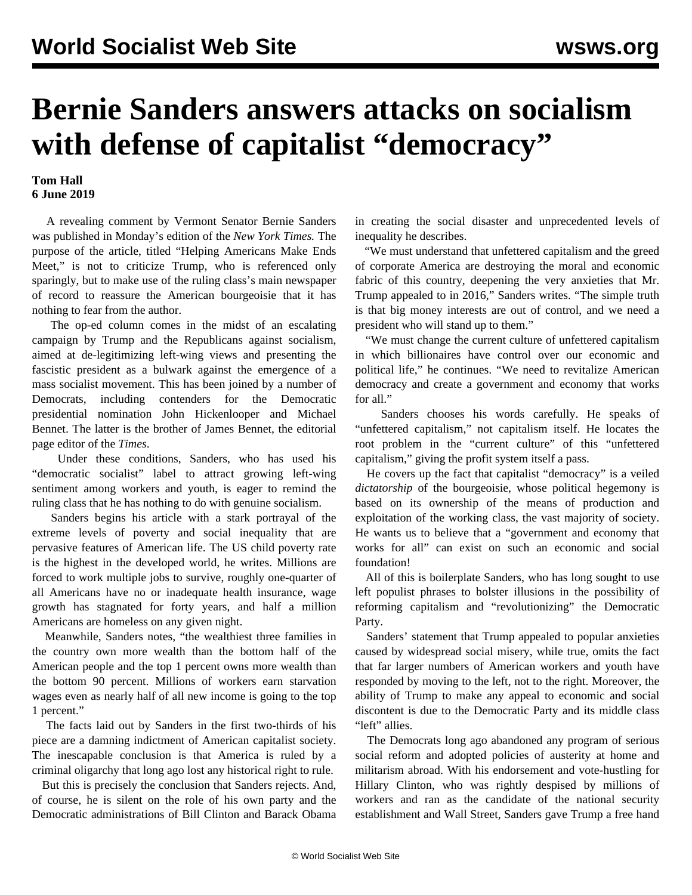## **Bernie Sanders answers attacks on socialism with defense of capitalist "democracy"**

## **Tom Hall 6 June 2019**

 A revealing comment by Vermont Senator Bernie Sanders was published in Monday's edition of the *New York Times.* The purpose of the article, titled "Helping Americans Make Ends Meet," is not to criticize Trump, who is referenced only sparingly, but to make use of the ruling class's main newspaper of record to reassure the American bourgeoisie that it has nothing to fear from the author.

 The op-ed column comes in the midst of an escalating [campaign](/en/articles/2019/04/08/pers-a08.html) by Trump and the Republicans against socialism, aimed at de-legitimizing left-wing views and presenting the fascistic president as a bulwark against the emergence of a mass socialist movement. This has been joined by a number of Democrats, including contenders for the Democratic presidential nomination John Hickenlooper and Michael Bennet. The latter is the brother of James Bennet, the editorial page editor of the *Times*.

 Under these conditions, Sanders, who has used his "democratic socialist" label to attract growing left-wing sentiment among workers and youth, is eager to remind the ruling class that he has nothing to do with genuine socialism.

 Sanders begins his article with a stark portrayal of the extreme levels of poverty and social inequality that are pervasive features of American life. The US child poverty rate is the highest in the developed world, he writes. Millions are forced to work multiple jobs to survive, roughly one-quarter of all Americans have no or inadequate health insurance, wage growth has stagnated for forty years, and half a million Americans are homeless on any given night.

 Meanwhile, Sanders notes, "the wealthiest three families in the country own more wealth than the bottom half of the American people and the top 1 percent owns more wealth than the bottom 90 percent. Millions of workers earn starvation wages even as nearly half of all new income is going to the top 1 percent."

 The facts laid out by Sanders in the first two-thirds of his piece are a damning indictment of American capitalist society. The inescapable conclusion is that America is ruled by a criminal oligarchy that long ago lost any historical right to rule.

 But this is precisely the conclusion that Sanders rejects. And, of course, he is silent on the role of his own party and the Democratic administrations of Bill Clinton and Barack Obama in creating the social disaster and unprecedented levels of inequality he describes.

 "We must understand that unfettered capitalism and the greed of corporate America are destroying the moral and economic fabric of this country, deepening the very anxieties that Mr. Trump appealed to in 2016," Sanders writes. "The simple truth is that big money interests are out of control, and we need a president who will stand up to them."

 "We must change the current culture of unfettered capitalism in which billionaires have control over our economic and political life," he continues. "We need to revitalize American democracy and create a government and economy that works for all."

 Sanders chooses his words carefully. He speaks of "unfettered capitalism," not capitalism itself. He locates the root problem in the "current culture" of this "unfettered capitalism," giving the profit system itself a pass.

 He covers up the fact that capitalist "democracy" is a veiled *dictatorship* of the bourgeoisie, whose political hegemony is based on its ownership of the means of production and exploitation of the working class, the vast majority of society. He wants us to believe that a "government and economy that works for all" can exist on such an economic and social foundation!

 All of this is boilerplate Sanders, who has long sought to use left populist phrases to bolster illusions in the possibility of reforming capitalism and "revolutionizing" the Democratic Party.

 Sanders' statement that Trump appealed to popular anxieties caused by widespread social misery, while true, omits the fact that far larger numbers of American workers and youth have responded by moving to the left, not to the right. Moreover, the ability of Trump to make any appeal to economic and social discontent is due to the Democratic Party and its middle class "left" allies.

 The Democrats long ago abandoned any program of serious social reform and adopted policies of austerity at home and militarism abroad. With his endorsement and vote-hustling for Hillary Clinton, who was rightly despised by millions of workers and ran as the candidate of the national security establishment and Wall Street, Sanders gave Trump a free hand